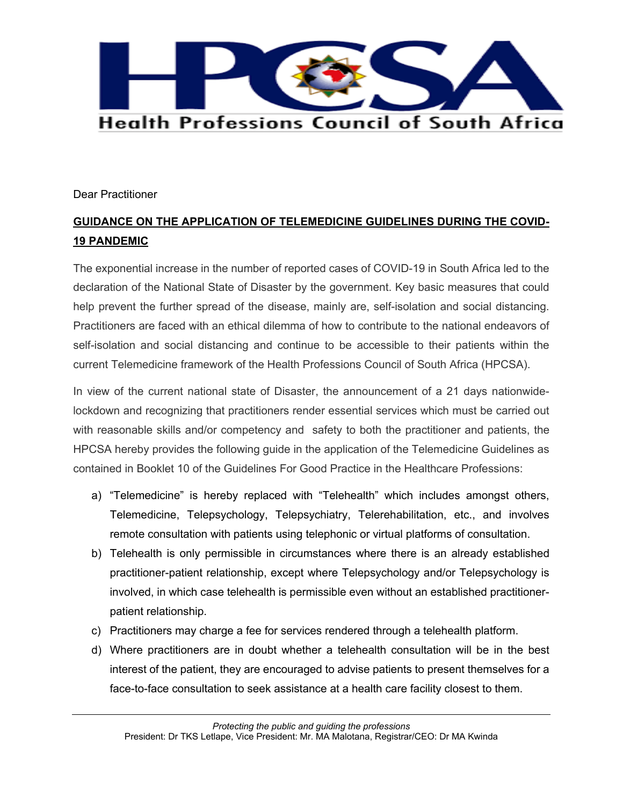

Dear Practitioner

## **GUIDANCE ON THE APPLICATION OF TELEMEDICINE GUIDELINES DURING THE COVID-19 PANDEMIC**

The exponential increase in the number of reported cases of COVID-19 in South Africa led to the declaration of the National State of Disaster by the government. Key basic measures that could help prevent the further spread of the disease, mainly are, self-isolation and social distancing. Practitioners are faced with an ethical dilemma of how to contribute to the national endeavors of self-isolation and social distancing and continue to be accessible to their patients within the current Telemedicine framework of the Health Professions Council of South Africa (HPCSA).

In view of the current national state of Disaster, the announcement of a 21 days nationwidelockdown and recognizing that practitioners render essential services which must be carried out with reasonable skills and/or competency and safety to both the practitioner and patients, the HPCSA hereby provides the following guide in the application of the Telemedicine Guidelines as contained in Booklet 10 of the Guidelines For Good Practice in the Healthcare Professions:

- a) "Telemedicine" is hereby replaced with "Telehealth" which includes amongst others, Telemedicine, Telepsychology, Telepsychiatry, Telerehabilitation, etc., and involves remote consultation with patients using telephonic or virtual platforms of consultation.
- b) Telehealth is only permissible in circumstances where there is an already established practitioner-patient relationship, except where Telepsychology and/or Telepsychology is involved, in which case telehealth is permissible even without an established practitionerpatient relationship.
- c) Practitioners may charge a fee for services rendered through a telehealth platform.
- d) Where practitioners are in doubt whether a telehealth consultation will be in the best interest of the patient, they are encouraged to advise patients to present themselves for a face-to-face consultation to seek assistance at a health care facility closest to them.